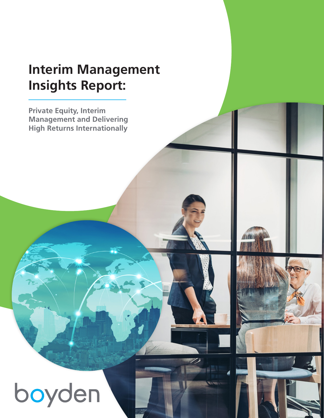### **Interim Management Insights Report:**

**Private Equity, Interim Management and Delivering High Returns Internationally** 



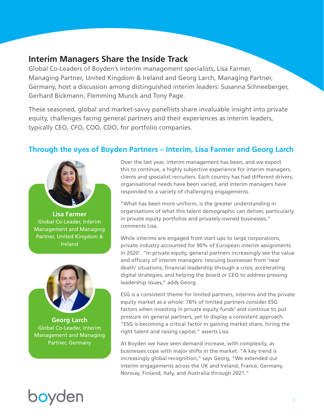### **Interim Managers Share the Inside Track**

Global Co-Leaders of Boyden's interim management specialists, Lisa Farmer, Managing Partner, United Kingdom & Ireland and Georg Larch, Managing Partner, Germany, host a discussion among distinguished interim leaders: Susanna Schneeberger, Gerhard Bickmann, Flemming Munck and Tony Page.

These seasoned, global and market-savvy panellists share invaluable insight into private equity, challenges facing general partners and their experiences as interim leaders, typically CEO, CFO, COO, CDO, for portfolio companies.

### **Through the eyes of Boyden Partners – Interim, Lisa Farmer and Georg Larch**



**Lisa Farmer** Global Co-Leader, Interim Management and Managing Partner, United Kingdom & Ireland



**Georg Larch** Global Co-Leader, Interim Management and Managing Partner, Germany

Over the last year, interim management has been, and we expect this to continue, a highly subjective experience for interim managers, clients and specialist recruiters. Each country has had different drivers, organisational needs have been varied, and interim managers have responded to a variety of challenging engagements.

"What has been more uniform, is the greater understanding in organisations of what this talent demographic can deliver, particularly in private equity portfolios and privately-owned businesses," comments Lisa.

While interims are engaged from start-ups to large corporations, private industry accounted for 90% of European interim assignments in 2020<sup>1</sup>. "In private equity, general partners increasingly see the value and efficacy of interim managers: rescuing businesses from 'near death' situations; financial leadership through a crisis; accelerating digital strategies; and helping the board or CEO to address pressing leadership issues," adds Georg.

ESG is a consistent theme for limited partners, interims and the private equity market as a whole: 78% of limited partners consider ESG factors when investing in private equity funds<sup>2</sup> and continue to put pressure on general partners, yet to display a consistent approach. "ESG is becoming a critical factor in gaining market share, hiring the right talent and raising capital," asserts Lisa.

At Boyden we have seen demand increase, with complexity, as businesses cope with major shifts in the market. "A key trend is increasingly global recognition," says Georg, "We extended our interim engagements across the UK and Ireland, France, Germany, Norway, Finland, Italy, and Australia through 2021."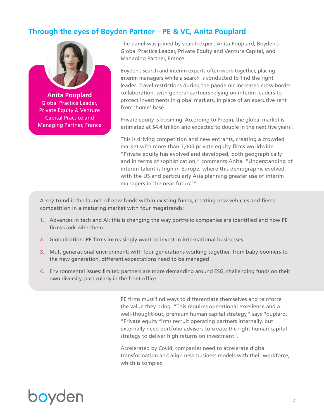### **Through the eyes of Boyden Partner – PE & VC, Anita Pouplard**



**Anita Pouplard** Global Practice Leader, Private Equity & Venture Capital Practice and Managing Partner, France The panel was joined by search expert Anita Pouplard, Boyden's Global Practice Leader, Private Equity and Venture Capital, and Managing Partner, France.

Boyden's search and interim experts often work together, placing interim managers while a search is conducted to find the right leader. Travel restrictions during the pandemic increased cross-border collaboration, with general partners relying on interim leaders to protect investments in global markets, in place of an executive sent from 'home' base.

Private equity is booming. According to Preqin, the global market is estimated at \$4.4 trillion and expected to double in the next five years<sup>3</sup>.

This is driving competition and new entrants, creating a crowded market with more than 7,000 private equity firms worldwide. "Private equity has evolved and developed, both geographically and in terms of sophistication," comments Anita. "Understanding of interim talent is high in Europe, where this demographic evolved, with the US and particularly Asia planning greater use of interim managers in the near future<sup>4"</sup>.

A key trend is the launch of new funds within existing funds, creating new vehicles and fierce competition in a maturing market with four megatrends:

- **1.** Advances in tech and AI: this is changing the way portfolio companies are identified and how PE firms work with them
- **2.** Globalisation: PE firms increasingly want to invest in international businesses
- **3.** Multigenerational environment: with four generations working together, from baby boomers to the new generation, different expectations need to be managed
- **4.** Environmental issues: limited partners are more demanding around ESG, challenging funds on their own diversity, particularly in the front office

PE firms must find ways to differentiate themselves and reinforce the value they bring. "This requires operational excellence and a well-thought-out, premium human capital strategy," says Pouplard. "Private equity firms recruit operating partners internally, but externally need portfolio advisors to create the right human capital strategy to deliver high returns on investment".

Accelerated by Covid, companies need to accelerate digital transformation and align new business models with their workforce, which is complex.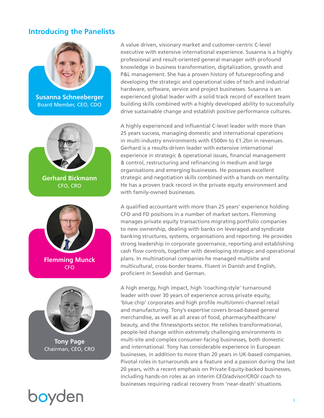#### **Introducing the Panelists**



**Susanna Schneeberger** Board Member, CEO, CDO









A value driven, visionary market and customer-centric C-level executive with extensive international experience. Susanna is a highly professional and result-oriented general manager with profound knowledge in business transformation, digitalization, growth and P&L management. She has a proven history of futureproofing and developing the strategic and operational sides of tech and industrial hardware, software, service and project businesses. Susanna is an experienced global leader with a solid track record of excellent team building skills combined with a highly developed ability to successfully drive sustainable change and establish positive performance cultures.

A highly experienced and influential C-level leader with more than 25 years success, managing domestic and international operations in multi-industry environments with €500m to €1.2bn in revenues. Gerhard is a results-driven leader with extensive international experience in strategic & operational issues, financial management & control, restructuring and refinancing in medium and large organisations and emerging businesses. He possesses excellent strategic and negotiation skills combined with a hands-on mentality. He has a proven track record in the private equity environment and with family-owned businesses.

A qualified accountant with more than 25 years' experience holding CFO and FD positions in a number of market sectors. Flemming manages private equity transactions migrating portfolio companies to new ownership, dealing with banks on leveraged and syndicate banking structures, systems, organisations and reporting. He provides strong leadership in corporate governance, reporting and establishing cash flow controls, together with developing strategic and operational plans. In multinational companies he managed multisite and multicultural, cross-border teams. Fluent in Danish and English, proficient in Swedish and German.

A high energy, high impact, high 'coaching-style' turnaround leader with over 30 years of experience across private equity, 'blue chip' corporates and high profile multi/omni-channel retail and manufacturing. Tony's expertise covers broad-based general merchandise, as well as all areas of food, pharmacy/healthcare/ beauty, and the fitness/sports sector. He relishes transformational, people-led change within extremely challenging environments in multi-site and complex consumer-facing businesses, both domestic and international. Tony has considerable experience in European businesses, in addition to more than 20 years in UK-based companies. Pivotal roles in turnarounds are a feature and a passion during the last 20 years, with a recent emphasis on Private Equity-backed businesses, including hands-on roles as an interim CEO/advisor/CRO/ coach to businesses requiring radical recovery from 'near-death' situations.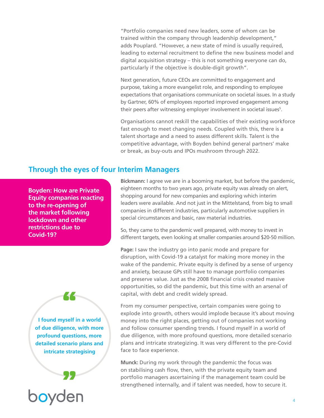"Portfolio companies need new leaders, some of whom can be trained within the company through leadership development," adds Pouplard. "However, a new state of mind is usually required, leading to external recruitment to define the new business model and digital acquisition strategy – this is not something everyone can do, particularly if the objective is double-digit growth".

Next generation, future CEOs are committed to engagement and purpose, taking a more evangelist role, and responding to employee expectations that organisations communicate on societal issues. In a study by Gartner, 60% of employees reported improved engagement among their peers after witnessing employer involvement in societal issues<sup>5</sup>.

Organisations cannot reskill the capabilities of their existing workforce fast enough to meet changing needs. Coupled with this, there is a talent shortage and a need to assess different skills. Talent is the competitive advantage, with Boyden behind general partners' make or break, as buy-outs and IPOs mushroom through 2022.

#### **Through the eyes of four Interim Managers**

**Boyden: How are Private Equity companies reacting to the re-opening of the market following lockdown and other restrictions due to Covid-19?**

**I found myself in a world of due diligence, with more profound questions, more detailed scenario plans and intricate strategising**

"

boyden

"

**Bickmann:** I agree we are in a booming market, but before the pandemic, eighteen months to two years ago, private equity was already on alert, shopping around for new companies and exploring which interim leaders were available. And not just in the Mittelstand, from big to small companies in different industries, particularly automotive suppliers in special circumstances and basic, raw material industries.

So, they came to the pandemic well prepared, with money to invest in different targets, even looking at smaller companies around \$20-50 million.

**Page:** I saw the industry go into panic mode and prepare for disruption, with Covid-19 a catalyst for making more money in the wake of the pandemic. Private equity is defined by a sense of urgency and anxiety, because GPs still have to manage portfolio companies and preserve value. Just as the 2008 financial crisis created massive opportunities, so did the pandemic, but this time with an arsenal of capital, with debt and credit widely spread.

From my consumer perspective, certain companies were going to explode into growth, others would implode because it's about moving money into the right places, getting out of companies not working and follow consumer spending trends. I found myself in a world of due diligence, with more profound questions, more detailed scenario plans and intricate strategizing. It was very different to the pre-Covid face to face experience.

**Munck:** During my work through the pandemic the focus was on stabilising cash flow, then, with the private equity team and portfolio managers ascertaining if the management team could be strengthened internally, and if talent was needed, how to secure it.

4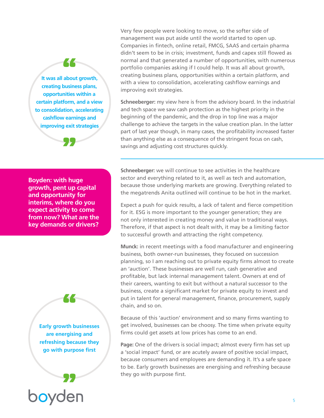**It was all about growth, creating business plans, opportunities within a certain platform, and a view to consolidation, accelerating cashflow earnings and improving exit strategies**

"



**Boyden: with huge growth, pent up capital and opportunity for interims, where do you expect activity to come from now? What are the key demands or drivers?**

> **Early growth businesses are energising and refreshing because they go with purpose first**

"



Very few people were looking to move, so the softer side of management was put aside until the world started to open up. Companies in fintech, online retail, FMCG, SAAS and certain pharma didn't seem to be in crisis; investment, funds and capex still flowed as normal and that generated a number of opportunities, with numerous portfolio companies asking if I could help. It was all about growth, creating business plans, opportunities within a certain platform, and with a view to consolidation, accelerating cashflow earnings and improving exit strategies.

**Schneeberger:** my view here is from the advisory board. In the industrial and tech space we saw cash protection as the highest priority in the beginning of the pandemic, and the drop in top line was a major challenge to achieve the targets in the value creation plan. In the latter part of last year though, in many cases, the profitability increased faster than anything else as a consequence of the stringent focus on cash, savings and adjusting cost structures quickly.

**Schneeberger:** we will continue to see activities in the healthcare sector and everything related to it, as well as tech and automation, because those underlying markets are growing. Everything related to the megatrends Anita outlined will continue to be hot in the market.

Expect a push for quick results, a lack of talent and fierce competition for it. ESG is more important to the younger generation; they are not only interested in creating money and value in traditional ways. Therefore, if that aspect is not dealt with, it may be a limiting factor to successful growth and attracting the right competency.

**Munck:** in recent meetings with a food manufacturer and engineering business, both owner-run businesses, they focused on succession planning, so I am reaching out to private equity firms almost to create an 'auction'. These businesses are well run, cash generative and profitable, but lack internal management talent. Owners at end of their careers, wanting to exit but without a natural successor to the business, create a significant market for private equity to invest and put in talent for general management, finance, procurement, supply chain, and so on.

Because of this 'auction' environment and so many firms wanting to get involved, businesses can be choosy. The time when private equity firms could get assets at low prices has come to an end.

**Page:** One of the drivers is social impact; almost every firm has set up a 'social impact' fund, or are acutely aware of positive social impact, because consumers and employees are demanding it. It's a safe space to be. Early growth businesses are energising and refreshing because they go with purpose first.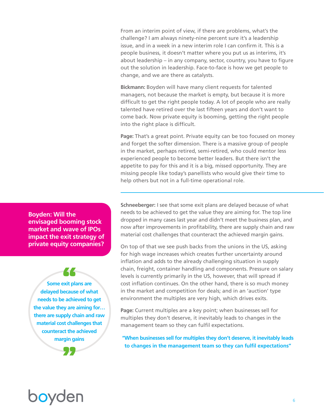From an interim point of view, if there are problems, what's the challenge? I am always ninety-nine percent sure it's a leadership issue, and in a week in a new interim role I can confirm it. This is a people business, it doesn't matter where you put us as interims, it's about leadership – in any company, sector, country, you have to figure out the solution in leadership. Face-to-face is how we get people to change, and we are there as catalysts.

**Bickmann:** Boyden will have many client requests for talented managers, not because the market is empty, but because it is more difficult to get the right people today. A lot of people who are really talented have retired over the last fifteen years and don't want to come back. Now private equity is booming, getting the right people into the right place is difficult.

**Page:** That's a great point. Private equity can be too focused on money and forget the softer dimension. There is a massive group of people in the market, perhaps retired, semi-retired, who could mentor less experienced people to become better leaders. But there isn't the appetite to pay for this and it is a big, missed opportunity. They are missing people like today's panellists who would give their time to help others but not in a full-time operational role.

**Boyden: Will the envisaged booming stock market and wave of IPOs impact the exit strategy of private equity companies?**

**Some exit plans are delayed because of what needs to be achieved to get the value they are aiming for… there are supply chain and raw material cost challenges that counteract the achieved margin gains**

22

**Schneeberger:** I see that some exit plans are delayed because of what needs to be achieved to get the value they are aiming for. The top line dropped in many cases last year and didn't meet the business plan, and now after improvements in profitability, there are supply chain and raw material cost challenges that counteract the achieved margin gains.

On top of that we see push backs from the unions in the US, asking for high wage increases which creates further uncertainty around inflation and adds to the already challenging situation in supply chain, freight, container handling and components. Pressure on salary levels is currently primarily in the US, however, that will spread if cost inflation continues. On the other hand, there is so much money in the market and competition for deals; and in an 'auction' type environment the multiples are very high, which drives exits.

**Page:** Current multiples are a key point; when businesses sell for multiples they don't deserve, it inevitably leads to changes in the management team so they can fulfil expectations.

**"When businesses sell for multiples they don't deserve, it inevitably leads to changes in the management team so they can fulfil expectations"**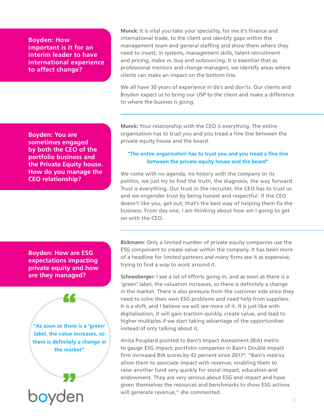**Boyden: How important is it for an interim leader to have international experience to affect change?**

**Boyden: You are sometimes engaged by both the CEO of the portfolio business and the Private Equity house. How do you manage the CEO relationship?**

**Munck:** It is vital you take your speciality, for me it's finance and international trade, to the client and identify gaps within the management team and general staffing and show them where they need to invest; in systems, management skills, talent recruitment and pricing, make vs. buy and outsourcing. It is essential that as professional mentors and change managers, we identify areas where clients can make an impact on the bottom line.

We all have 30 years of experience in do's and don'ts. Our clients and Boyden expect us to bring our USP to the client and make a difference to where the busines is going.

**Munck:** Your relationship with the CEO is everything. The entire organisation has to trust you and you tread a fine line between the private equity house and the board.

#### **"The entire organisation has to trust you and you tread a fine line between the private equity house and the board"**

We come with no agenda, no history with the company or its politics, we just try to find the truth, the diagnosis, the way forward. Trust is everything. Our trust in the recruiter, the CEO has to trust us and we engender trust by being honest and respectful. If the CEO doesn't like you, get out; that's the best way of helping them fix the business. From day one, I am thinking about how am I going to get on with the CEO.

**Boyden: How are ESG expectations impacting private equity and how are they managed?**

**"As soon as there is a 'green' label, the value increases, so there is definitely a change in the market"**

22

boyden

**"** 

**Bickmann:** Only a limited number of private equity companies use the ESG component to create value within the company. It has been more of a headline for limited partners and many firms see it as expensive, trying to find a way to work around it.

**Schneeberger:** I see a lot of efforts going in, and as soon as there is a 'green' label, the valuation increases, so there is definitely a change in the market. There is also pressure from the customer side since they need to solve their own ESG problems and need help from suppliers. It is a shift, and I believe we will see more of it. It is just like with digitalisation, it will gain traction quickly, create value, and lead to higher multiples if we start taking advantage of the opportunities instead of only talking about it.

Anita Pouplard pointed to Bain's Impact Assessment (BIA) metric to gauge ESG impact; portfolio companies in Bain's Double Impact firm increased BIA scores by 42 percent since 2017<sup>6</sup>. "Bain's metrics allow them to associate impact with revenue, enabling them to raise another fund very quickly for social impact, education and endowment. They are very serious about ESG and impact and have given themselves the resources and benchmarks to show ESG actions will generate revenue," she commented.